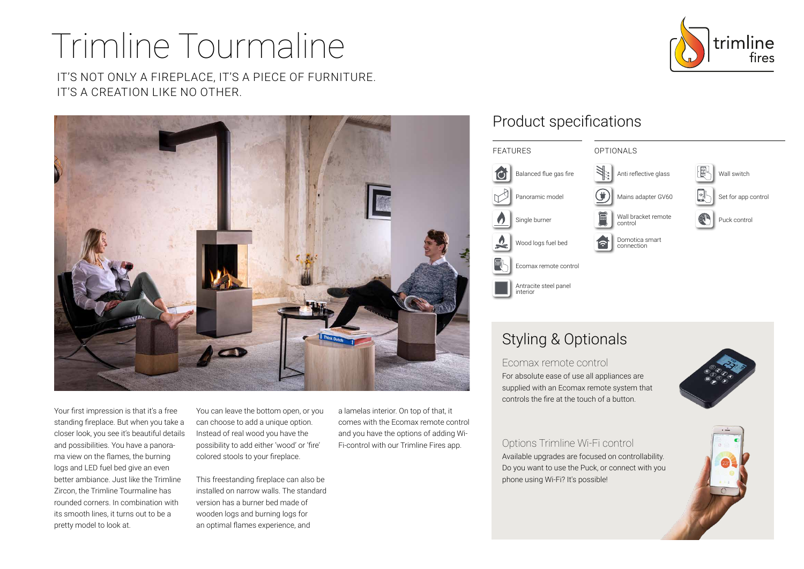# Trimline Tourmaline

IT'S NOT ONLY A FIREPLACE, IT'S A PIECE OF FURNITURE. IT'S A CREATION LIKE NO OTHER.



Your first impression is that it's a free standing fireplace. But when you take a closer look, you see it's beautiful details and possibilities. You have a panorama view on the flames, the burning logs and LED fuel bed give an even better ambiance. Just like the Trimline Zircon, the Trimline Tourmaline has rounded corners. In combination with its smooth lines, it turns out to be a pretty model to look at.

You can leave the bottom open, or you can choose to add a unique option. Instead of real wood you have the possibility to add either 'wood' or 'fire' colored stools to your fireplace.

This freestanding fireplace can also be installed on narrow walls. The standard version has a burner bed made of wooden logs and burning logs for an optimal flames experience, and

a lamelas interior. On top of that, it comes with the Ecomax remote control and you have the options of adding Wi-Fi-control with our Trimline Fires app.

### Product specifications



## Styling & Optionals

Ecomax remote control For absolute ease of use all appliances are supplied with an Ecomax remote system that controls the fire at the touch of a button.



Options Trimline Wi-Fi control Available upgrades are focused on controllability. Do you want to use the Puck, or connect with you phone using Wi-Fi? It's possible!